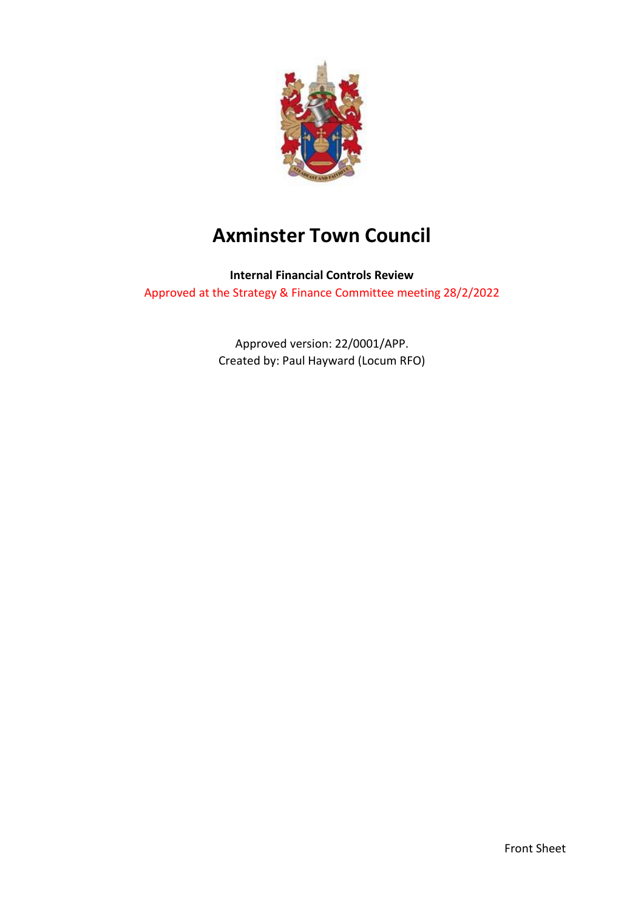

# **Axminster Town Council**

**Internal Financial Controls Review** Approved at the Strategy & Finance Committee meeting 28/2/2022

> Approved version: 22/0001/APP. Created by: Paul Hayward (Locum RFO)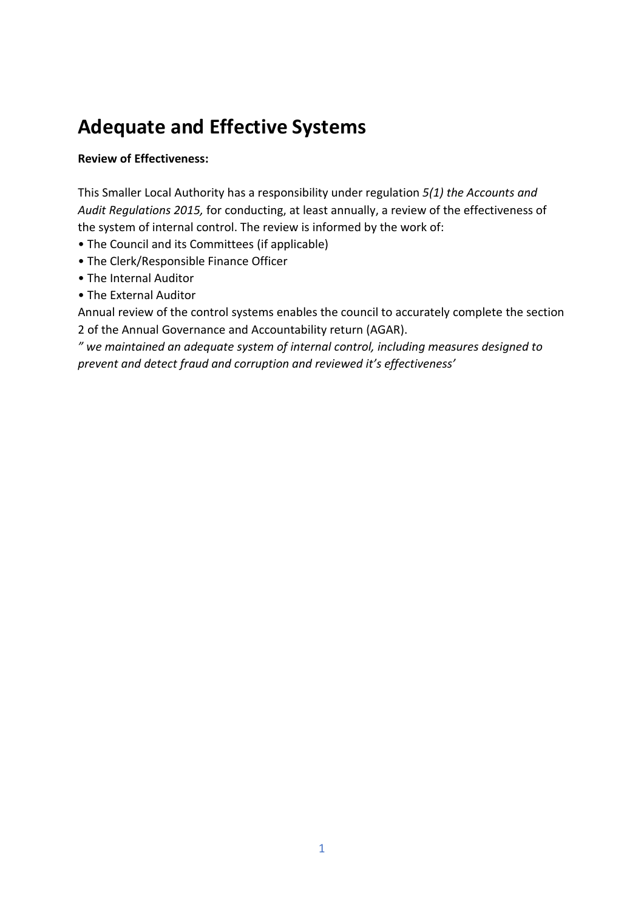# **Adequate and Effective Systems**

# **Review of Effectiveness:**

This Smaller Local Authority has a responsibility under regulation *5(1) the Accounts and Audit Regulations 2015,* for conducting, at least annually, a review of the effectiveness of the system of internal control. The review is informed by the work of:

- The Council and its Committees (if applicable)
- The Clerk/Responsible Finance Officer
- The Internal Auditor
- The External Auditor

Annual review of the control systems enables the council to accurately complete the section 2 of the Annual Governance and Accountability return (AGAR).

*" we maintained an adequate system of internal control, including measures designed to prevent and detect fraud and corruption and reviewed it's effectiveness'*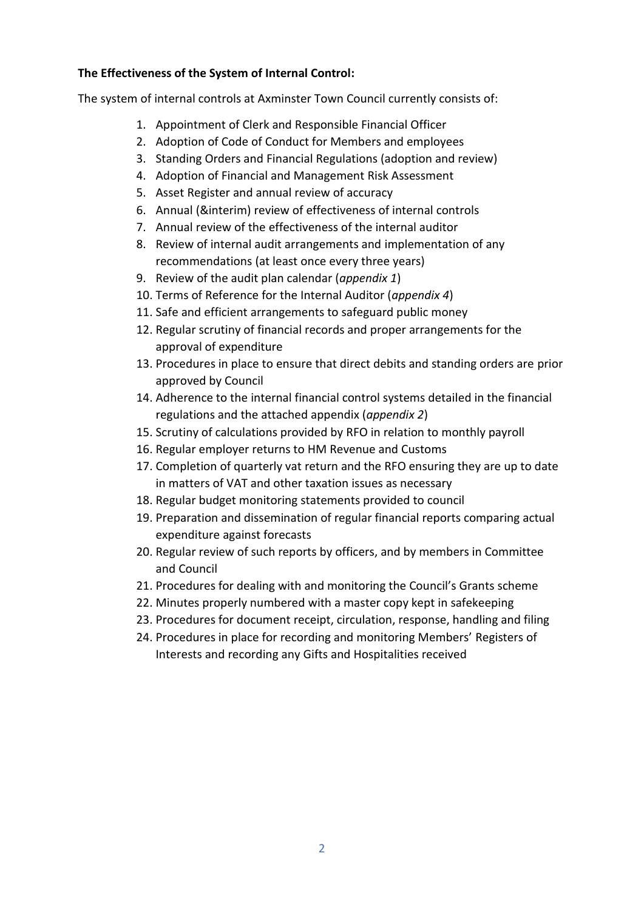# **The Effectiveness of the System of Internal Control:**

The system of internal controls at Axminster Town Council currently consists of:

- 1. Appointment of Clerk and Responsible Financial Officer
- 2. Adoption of Code of Conduct for Members and employees
- 3. Standing Orders and Financial Regulations (adoption and review)
- 4. Adoption of Financial and Management Risk Assessment
- 5. Asset Register and annual review of accuracy
- 6. Annual (&interim) review of effectiveness of internal controls
- 7. Annual review of the effectiveness of the internal auditor
- 8. Review of internal audit arrangements and implementation of any recommendations (at least once every three years)
- 9. Review of the audit plan calendar (*appendix 1*)
- 10. Terms of Reference for the Internal Auditor (*appendix 4*)
- 11. Safe and efficient arrangements to safeguard public money
- 12. Regular scrutiny of financial records and proper arrangements for the approval of expenditure
- 13. Procedures in place to ensure that direct debits and standing orders are prior approved by Council
- 14. Adherence to the internal financial control systems detailed in the financial regulations and the attached appendix (*appendix 2*)
- 15. Scrutiny of calculations provided by RFO in relation to monthly payroll
- 16. Regular employer returns to HM Revenue and Customs
- 17. Completion of quarterly vat return and the RFO ensuring they are up to date in matters of VAT and other taxation issues as necessary
- 18. Regular budget monitoring statements provided to council
- 19. Preparation and dissemination of regular financial reports comparing actual expenditure against forecasts
- 20. Regular review of such reports by officers, and by members in Committee and Council
- 21. Procedures for dealing with and monitoring the Council's Grants scheme
- 22. Minutes properly numbered with a master copy kept in safekeeping
- 23. Procedures for document receipt, circulation, response, handling and filing
- 24. Procedures in place for recording and monitoring Members' Registers of Interests and recording any Gifts and Hospitalities received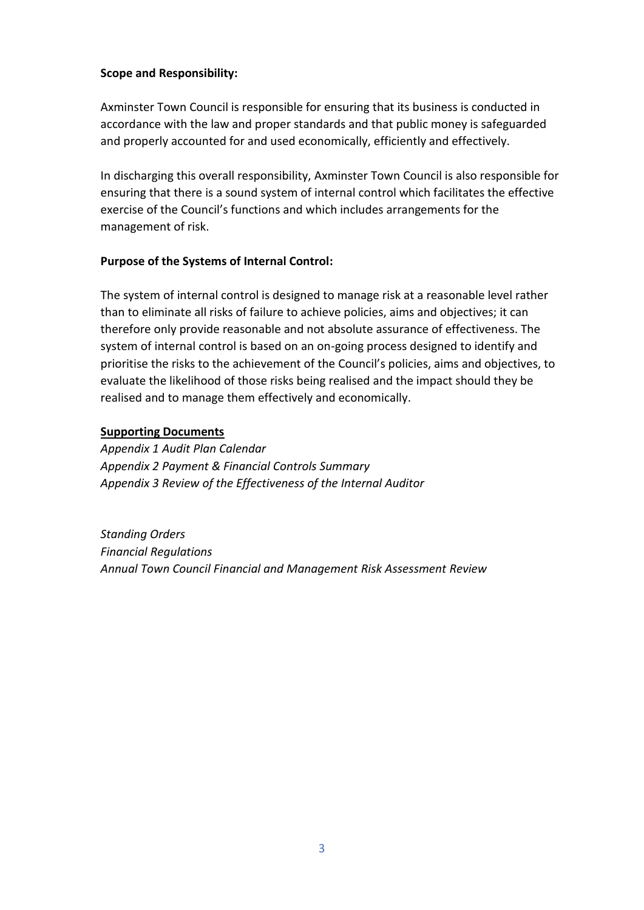## **Scope and Responsibility:**

Axminster Town Council is responsible for ensuring that its business is conducted in accordance with the law and proper standards and that public money is safeguarded and properly accounted for and used economically, efficiently and effectively.

In discharging this overall responsibility, Axminster Town Council is also responsible for ensuring that there is a sound system of internal control which facilitates the effective exercise of the Council's functions and which includes arrangements for the management of risk.

#### **Purpose of the Systems of Internal Control:**

The system of internal control is designed to manage risk at a reasonable level rather than to eliminate all risks of failure to achieve policies, aims and objectives; it can therefore only provide reasonable and not absolute assurance of effectiveness. The system of internal control is based on an on-going process designed to identify and prioritise the risks to the achievement of the Council's policies, aims and objectives, to evaluate the likelihood of those risks being realised and the impact should they be realised and to manage them effectively and economically.

#### **Supporting Documents**

*Appendix 1 Audit Plan Calendar Appendix 2 Payment & Financial Controls Summary Appendix 3 Review of the Effectiveness of the Internal Auditor*

*Standing Orders Financial Regulations Annual Town Council Financial and Management Risk Assessment Review*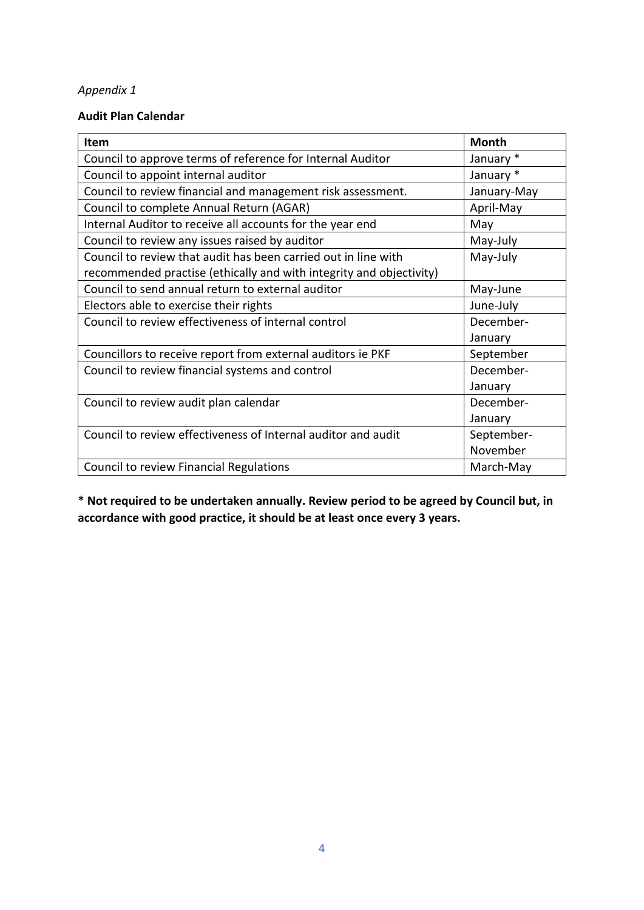# **Audit Plan Calendar**

| Item                                                                | <b>Month</b> |
|---------------------------------------------------------------------|--------------|
| Council to approve terms of reference for Internal Auditor          | January *    |
| Council to appoint internal auditor                                 | January *    |
| Council to review financial and management risk assessment.         | January-May  |
| Council to complete Annual Return (AGAR)                            | April-May    |
| Internal Auditor to receive all accounts for the year end           | May          |
| Council to review any issues raised by auditor                      | May-July     |
| Council to review that audit has been carried out in line with      | May-July     |
| recommended practise (ethically and with integrity and objectivity) |              |
| Council to send annual return to external auditor                   | May-June     |
| Electors able to exercise their rights                              | June-July    |
| Council to review effectiveness of internal control                 | December-    |
|                                                                     | January      |
| Councillors to receive report from external auditors ie PKF         | September    |
| Council to review financial systems and control                     | December-    |
|                                                                     | January      |
| Council to review audit plan calendar                               | December-    |
|                                                                     | January      |
| Council to review effectiveness of Internal auditor and audit       | September-   |
|                                                                     | November     |
| Council to review Financial Regulations                             | March-May    |

**\* Not required to be undertaken annually. Review period to be agreed by Council but, in accordance with good practice, it should be at least once every 3 years.**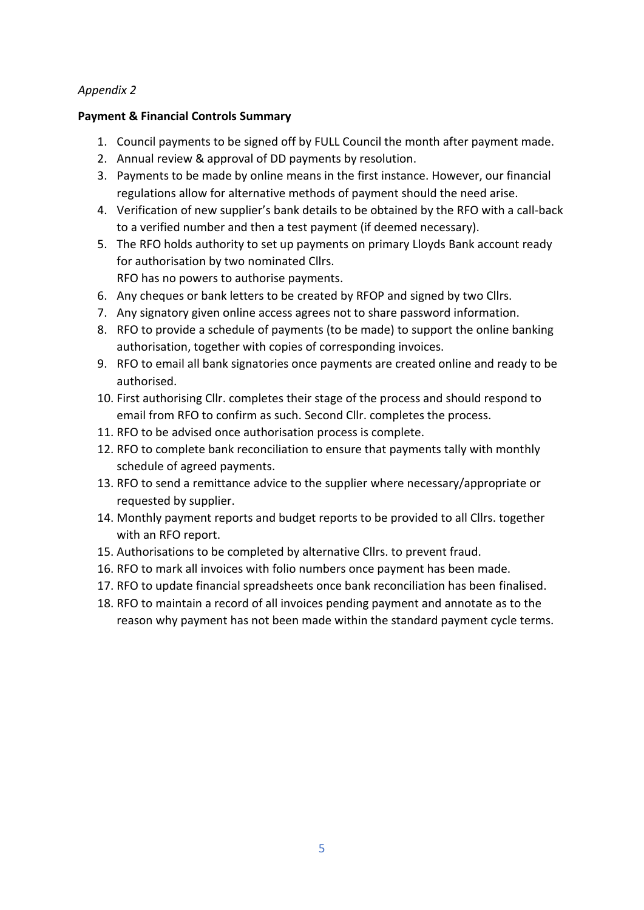#### **Payment & Financial Controls Summary**

- 1. Council payments to be signed off by FULL Council the month after payment made.
- 2. Annual review & approval of DD payments by resolution.
- 3. Payments to be made by online means in the first instance. However, our financial regulations allow for alternative methods of payment should the need arise.
- 4. Verification of new supplier's bank details to be obtained by the RFO with a call-back to a verified number and then a test payment (if deemed necessary).
- 5. The RFO holds authority to set up payments on primary Lloyds Bank account ready for authorisation by two nominated Cllrs.

RFO has no powers to authorise payments.

- 6. Any cheques or bank letters to be created by RFOP and signed by two Cllrs.
- 7. Any signatory given online access agrees not to share password information.
- 8. RFO to provide a schedule of payments (to be made) to support the online banking authorisation, together with copies of corresponding invoices.
- 9. RFO to email all bank signatories once payments are created online and ready to be authorised.
- 10. First authorising Cllr. completes their stage of the process and should respond to email from RFO to confirm as such. Second Cllr. completes the process.
- 11. RFO to be advised once authorisation process is complete.
- 12. RFO to complete bank reconciliation to ensure that payments tally with monthly schedule of agreed payments.
- 13. RFO to send a remittance advice to the supplier where necessary/appropriate or requested by supplier.
- 14. Monthly payment reports and budget reports to be provided to all Cllrs. together with an RFO report.
- 15. Authorisations to be completed by alternative Cllrs. to prevent fraud.
- 16. RFO to mark all invoices with folio numbers once payment has been made.
- 17. RFO to update financial spreadsheets once bank reconciliation has been finalised.
- 18. RFO to maintain a record of all invoices pending payment and annotate as to the reason why payment has not been made within the standard payment cycle terms.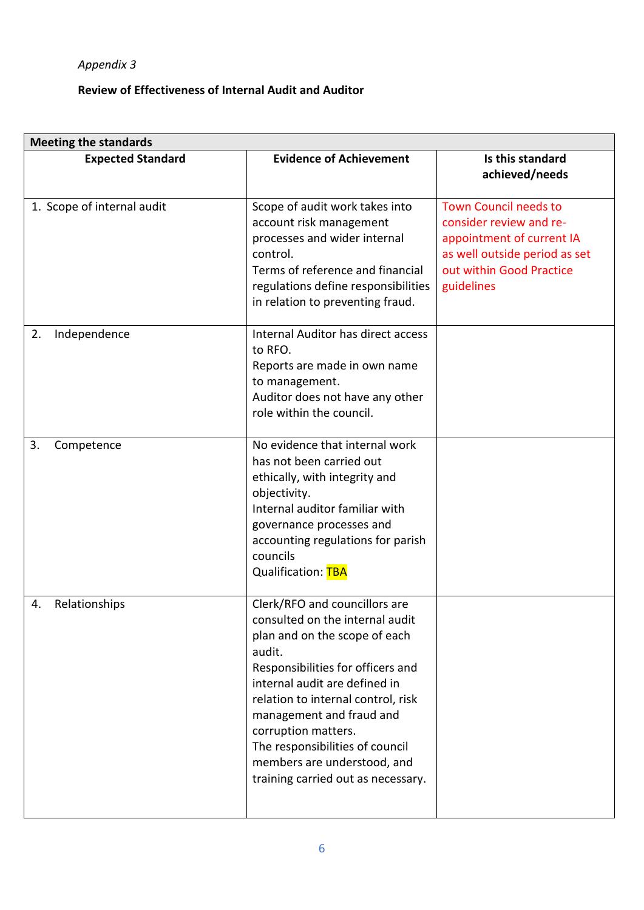# **Review of Effectiveness of Internal Audit and Auditor**

| <b>Meeting the standards</b> |                                                                                                                                                                                                                                                                                                                                                                                    |                                                                                                                                                                 |  |
|------------------------------|------------------------------------------------------------------------------------------------------------------------------------------------------------------------------------------------------------------------------------------------------------------------------------------------------------------------------------------------------------------------------------|-----------------------------------------------------------------------------------------------------------------------------------------------------------------|--|
| <b>Expected Standard</b>     | <b>Evidence of Achievement</b>                                                                                                                                                                                                                                                                                                                                                     | Is this standard<br>achieved/needs                                                                                                                              |  |
| 1. Scope of internal audit   | Scope of audit work takes into<br>account risk management<br>processes and wider internal<br>control.<br>Terms of reference and financial<br>regulations define responsibilities<br>in relation to preventing fraud.                                                                                                                                                               | <b>Town Council needs to</b><br>consider review and re-<br>appointment of current IA<br>as well outside period as set<br>out within Good Practice<br>guidelines |  |
| 2.<br>Independence           | Internal Auditor has direct access<br>to RFO.<br>Reports are made in own name<br>to management.<br>Auditor does not have any other<br>role within the council.                                                                                                                                                                                                                     |                                                                                                                                                                 |  |
| 3.<br>Competence             | No evidence that internal work<br>has not been carried out<br>ethically, with integrity and<br>objectivity.<br>Internal auditor familiar with<br>governance processes and<br>accounting regulations for parish<br>councils<br>Qualification: TBA                                                                                                                                   |                                                                                                                                                                 |  |
| Relationships<br>4.          | Clerk/RFO and councillors are<br>consulted on the internal audit<br>plan and on the scope of each<br>audit.<br>Responsibilities for officers and<br>internal audit are defined in<br>relation to internal control, risk<br>management and fraud and<br>corruption matters.<br>The responsibilities of council<br>members are understood, and<br>training carried out as necessary. |                                                                                                                                                                 |  |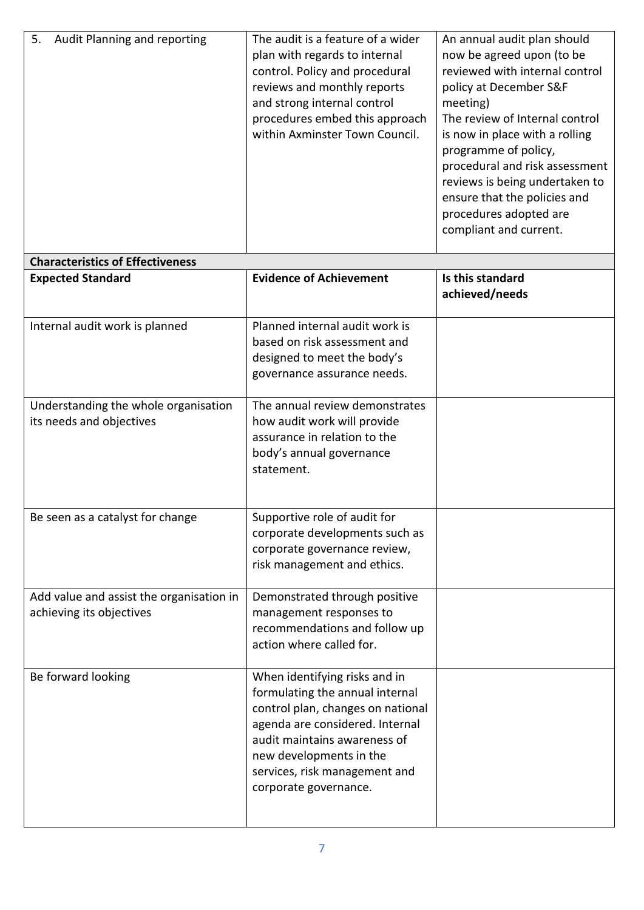| 5.<br><b>Audit Planning and reporting</b><br>The audit is a feature of a wider<br>An annual audit plan should<br>now be agreed upon (to be<br>plan with regards to internal<br>control. Policy and procedural<br>reviewed with internal control<br>reviews and monthly reports<br>policy at December S&F<br>and strong internal control<br>meeting)<br>procedures embed this approach<br>The review of Internal control<br>within Axminster Town Council.<br>is now in place with a rolling<br>programme of policy,<br>procedural and risk assessment<br>reviews is being undertaken to<br>ensure that the policies and<br>procedures adopted are<br>compliant and current. |  |  |
|-----------------------------------------------------------------------------------------------------------------------------------------------------------------------------------------------------------------------------------------------------------------------------------------------------------------------------------------------------------------------------------------------------------------------------------------------------------------------------------------------------------------------------------------------------------------------------------------------------------------------------------------------------------------------------|--|--|
|                                                                                                                                                                                                                                                                                                                                                                                                                                                                                                                                                                                                                                                                             |  |  |

| <b>Expected Standard</b>                                             | <b>Evidence of Achievement</b>                                                                                                                                                                                                                                | Is this standard<br>achieved/needs |
|----------------------------------------------------------------------|---------------------------------------------------------------------------------------------------------------------------------------------------------------------------------------------------------------------------------------------------------------|------------------------------------|
| Internal audit work is planned                                       | Planned internal audit work is<br>based on risk assessment and<br>designed to meet the body's<br>governance assurance needs.                                                                                                                                  |                                    |
| Understanding the whole organisation<br>its needs and objectives     | The annual review demonstrates<br>how audit work will provide<br>assurance in relation to the<br>body's annual governance<br>statement.                                                                                                                       |                                    |
| Be seen as a catalyst for change                                     | Supportive role of audit for<br>corporate developments such as<br>corporate governance review,<br>risk management and ethics.                                                                                                                                 |                                    |
| Add value and assist the organisation in<br>achieving its objectives | Demonstrated through positive<br>management responses to<br>recommendations and follow up<br>action where called for.                                                                                                                                         |                                    |
| Be forward looking                                                   | When identifying risks and in<br>formulating the annual internal<br>control plan, changes on national<br>agenda are considered. Internal<br>audit maintains awareness of<br>new developments in the<br>services, risk management and<br>corporate governance. |                                    |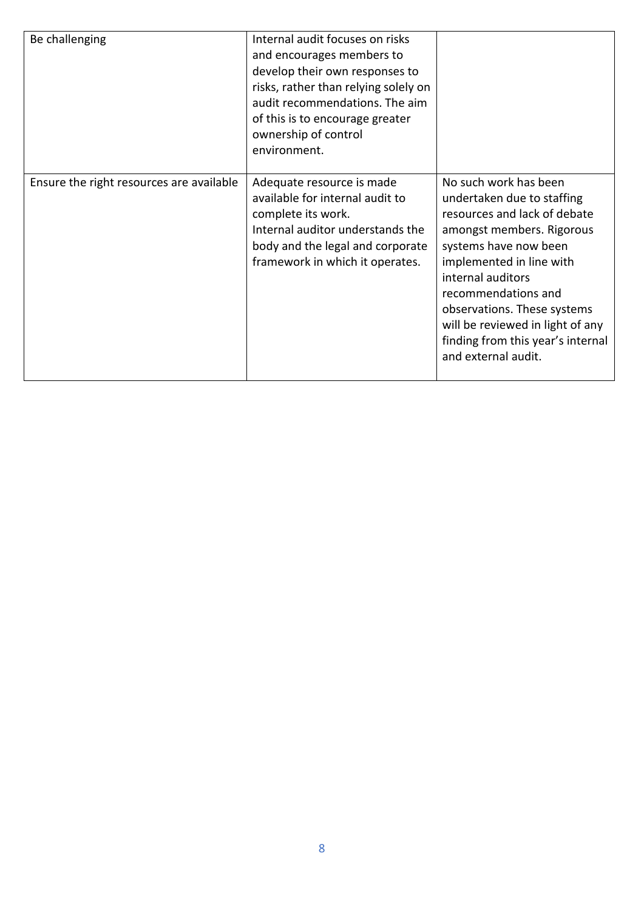| Be challenging                           | Internal audit focuses on risks<br>and encourages members to<br>develop their own responses to<br>risks, rather than relying solely on<br>audit recommendations. The aim<br>of this is to encourage greater<br>ownership of control<br>environment. |                                                                                                                                                                                                                                                                                                                                                  |
|------------------------------------------|-----------------------------------------------------------------------------------------------------------------------------------------------------------------------------------------------------------------------------------------------------|--------------------------------------------------------------------------------------------------------------------------------------------------------------------------------------------------------------------------------------------------------------------------------------------------------------------------------------------------|
| Ensure the right resources are available | Adequate resource is made<br>available for internal audit to<br>complete its work.<br>Internal auditor understands the<br>body and the legal and corporate<br>framework in which it operates.                                                       | No such work has been<br>undertaken due to staffing<br>resources and lack of debate<br>amongst members. Rigorous<br>systems have now been<br>implemented in line with<br>internal auditors<br>recommendations and<br>observations. These systems<br>will be reviewed in light of any<br>finding from this year's internal<br>and external audit. |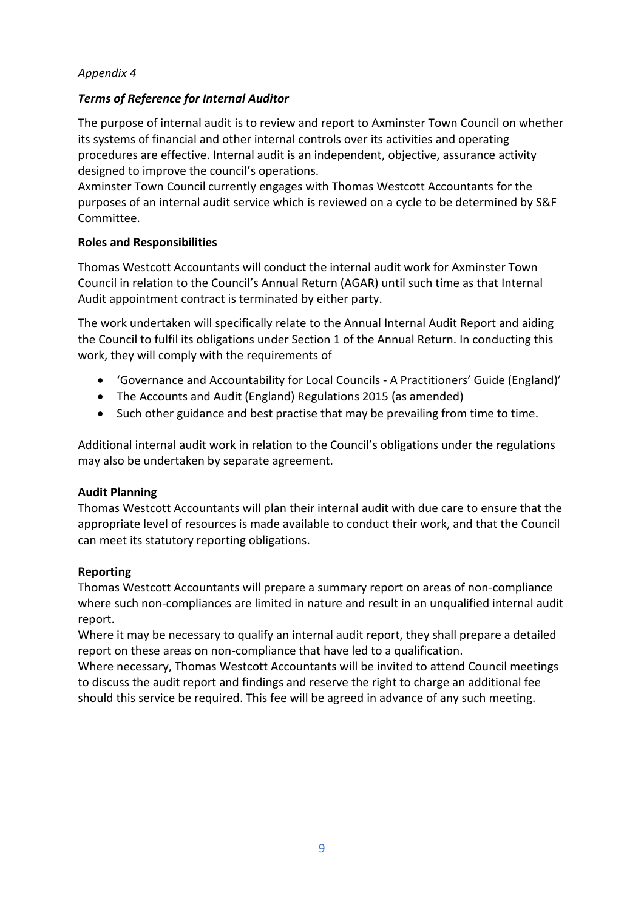# *Terms of Reference for Internal Auditor*

The purpose of internal audit is to review and report to Axminster Town Council on whether its systems of financial and other internal controls over its activities and operating procedures are effective. Internal audit is an independent, objective, assurance activity designed to improve the council's operations.

Axminster Town Council currently engages with Thomas Westcott Accountants for the purposes of an internal audit service which is reviewed on a cycle to be determined by S&F Committee.

## **Roles and Responsibilities**

Thomas Westcott Accountants will conduct the internal audit work for Axminster Town Council in relation to the Council's Annual Return (AGAR) until such time as that Internal Audit appointment contract is terminated by either party.

The work undertaken will specifically relate to the Annual Internal Audit Report and aiding the Council to fulfil its obligations under Section 1 of the Annual Return. In conducting this work, they will comply with the requirements of

- 'Governance and Accountability for Local Councils A Practitioners' Guide (England)'
- The Accounts and Audit (England) Regulations 2015 (as amended)
- Such other guidance and best practise that may be prevailing from time to time.

Additional internal audit work in relation to the Council's obligations under the regulations may also be undertaken by separate agreement.

## **Audit Planning**

Thomas Westcott Accountants will plan their internal audit with due care to ensure that the appropriate level of resources is made available to conduct their work, and that the Council can meet its statutory reporting obligations.

## **Reporting**

Thomas Westcott Accountants will prepare a summary report on areas of non-compliance where such non-compliances are limited in nature and result in an unqualified internal audit report.

Where it may be necessary to qualify an internal audit report, they shall prepare a detailed report on these areas on non-compliance that have led to a qualification.

Where necessary, Thomas Westcott Accountants will be invited to attend Council meetings to discuss the audit report and findings and reserve the right to charge an additional fee should this service be required. This fee will be agreed in advance of any such meeting.